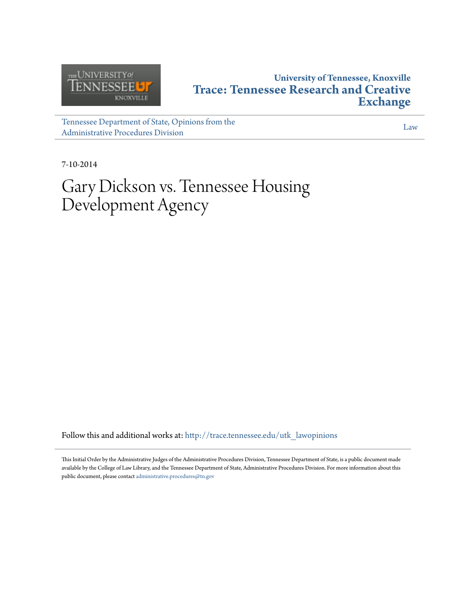

## **University of Tennessee, Knoxville [Trace: Tennessee Research and Creative](http://trace.tennessee.edu?utm_source=trace.tennessee.edu%2Futk_lawopinions%2F6659&utm_medium=PDF&utm_campaign=PDFCoverPages) [Exchange](http://trace.tennessee.edu?utm_source=trace.tennessee.edu%2Futk_lawopinions%2F6659&utm_medium=PDF&utm_campaign=PDFCoverPages)**

[Tennessee Department of State, Opinions from the](http://trace.tennessee.edu/utk_lawopinions?utm_source=trace.tennessee.edu%2Futk_lawopinions%2F6659&utm_medium=PDF&utm_campaign=PDFCoverPages) [Administrative Procedures Division](http://trace.tennessee.edu/utk_lawopinions?utm_source=trace.tennessee.edu%2Futk_lawopinions%2F6659&utm_medium=PDF&utm_campaign=PDFCoverPages)

[Law](http://trace.tennessee.edu/utk-law?utm_source=trace.tennessee.edu%2Futk_lawopinions%2F6659&utm_medium=PDF&utm_campaign=PDFCoverPages)

7-10-2014

# Gary Dickson vs. Tennessee Housing Development Agency

Follow this and additional works at: [http://trace.tennessee.edu/utk\\_lawopinions](http://trace.tennessee.edu/utk_lawopinions?utm_source=trace.tennessee.edu%2Futk_lawopinions%2F6659&utm_medium=PDF&utm_campaign=PDFCoverPages)

This Initial Order by the Administrative Judges of the Administrative Procedures Division, Tennessee Department of State, is a public document made available by the College of Law Library, and the Tennessee Department of State, Administrative Procedures Division. For more information about this public document, please contact [administrative.procedures@tn.gov](mailto:administrative.procedures@tn.gov)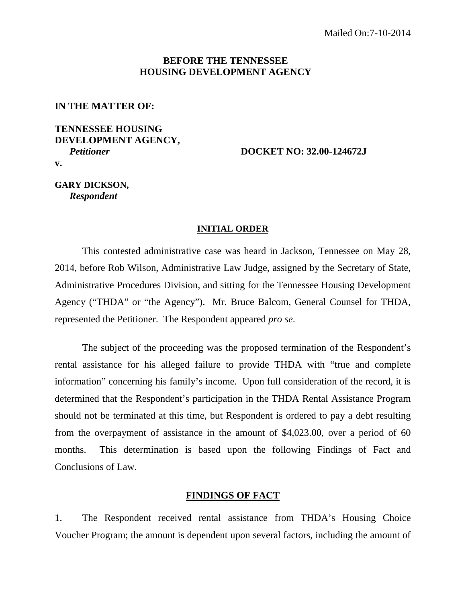#### **BEFORE THE TENNESSEE HOUSING DEVELOPMENT AGENCY**

**IN THE MATTER OF:** 

#### **TENNESSEE HOUSING DEVELOPMENT AGENCY,** *Petitioner*  **v.**

 **DOCKET NO: 32.00-124672J** 

**GARY DICKSON,** *Respondent* 

#### **INITIAL ORDER**

This contested administrative case was heard in Jackson, Tennessee on May 28, 2014, before Rob Wilson, Administrative Law Judge, assigned by the Secretary of State, Administrative Procedures Division, and sitting for the Tennessee Housing Development Agency ("THDA" or "the Agency"). Mr. Bruce Balcom, General Counsel for THDA, represented the Petitioner. The Respondent appeared *pro se*.

The subject of the proceeding was the proposed termination of the Respondent's rental assistance for his alleged failure to provide THDA with "true and complete information" concerning his family's income. Upon full consideration of the record, it is determined that the Respondent's participation in the THDA Rental Assistance Program should not be terminated at this time, but Respondent is ordered to pay a debt resulting from the overpayment of assistance in the amount of \$4,023.00, over a period of 60 months. This determination is based upon the following Findings of Fact and Conclusions of Law.

### **FINDINGS OF FACT**

1. The Respondent received rental assistance from THDA's Housing Choice Voucher Program; the amount is dependent upon several factors, including the amount of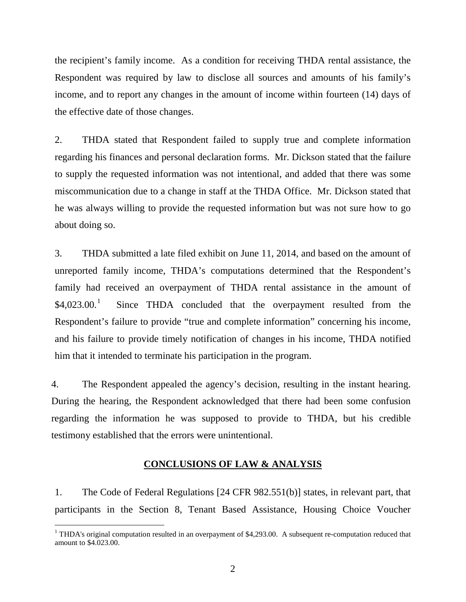the recipient's family income. As a condition for receiving THDA rental assistance, the Respondent was required by law to disclose all sources and amounts of his family's income, and to report any changes in the amount of income within fourteen (14) days of the effective date of those changes.

2. THDA stated that Respondent failed to supply true and complete information regarding his finances and personal declaration forms. Mr. Dickson stated that the failure to supply the requested information was not intentional, and added that there was some miscommunication due to a change in staff at the THDA Office. Mr. Dickson stated that he was always willing to provide the requested information but was not sure how to go about doing so.

3. THDA submitted a late filed exhibit on June 11, 2014, and based on the amount of unreported family income, THDA's computations determined that the Respondent's family had received an overpayment of THDA rental assistance in the amount of  $$4,023.00.<sup>1</sup>$  Since THDA concluded that the overpayment resulted from the Respondent's failure to provide "true and complete information" concerning his income, and his failure to provide timely notification of changes in his income, THDA notified him that it intended to terminate his participation in the program.

4. The Respondent appealed the agency's decision, resulting in the instant hearing. During the hearing, the Respondent acknowledged that there had been some confusion regarding the information he was supposed to provide to THDA, but his credible testimony established that the errors were unintentional.

#### **CONCLUSIONS OF LAW & ANALYSIS**

1. The Code of Federal Regulations [24 CFR 982.551(b)] states, in relevant part, that participants in the Section 8, Tenant Based Assistance, Housing Choice Voucher

 $\overline{a}$ 

 $1$  THDA's original computation resulted in an overpayment of \$4,293.00. A subsequent re-computation reduced that amount to \$4.023.00.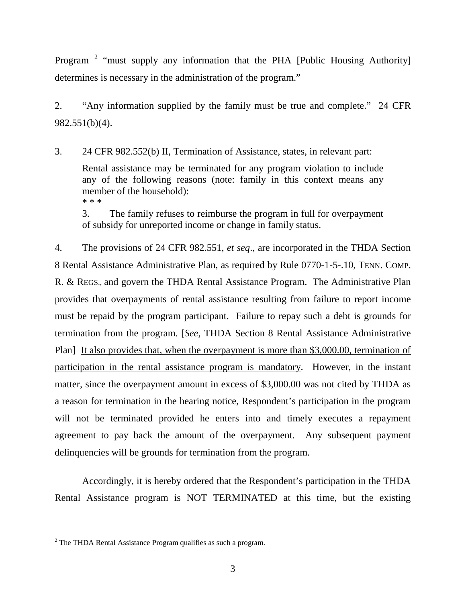Program<sup>2</sup> "must supply any information that the PHA [Public Housing Authority] determines is necessary in the administration of the program."

2. "Any information supplied by the family must be true and complete." 24 CFR 982.551(b)(4).

3. 24 CFR 982.552(b) II, Termination of Assistance, states, in relevant part:

Rental assistance may be terminated for any program violation to include any of the following reasons (note: family in this context means any member of the household): \* \* \*

3. The family refuses to reimburse the program in full for overpayment of subsidy for unreported income or change in family status.

4. The provisions of 24 CFR 982.551, *et seq*., are incorporated in the THDA Section 8 Rental Assistance Administrative Plan, as required by Rule 0770-1-5-.10, TENN. COMP. R. & REGS., and govern the THDA Rental Assistance Program. The Administrative Plan provides that overpayments of rental assistance resulting from failure to report income must be repaid by the program participant. Failure to repay such a debt is grounds for termination from the program. [*See,* THDA Section 8 Rental Assistance Administrative Plan] It also provides that, when the overpayment is more than \$3,000.00, termination of participation in the rental assistance program is mandatory. However, in the instant matter, since the overpayment amount in excess of \$3,000.00 was not cited by THDA as a reason for termination in the hearing notice, Respondent's participation in the program will not be terminated provided he enters into and timely executes a repayment agreement to pay back the amount of the overpayment. Any subsequent payment delinquencies will be grounds for termination from the program.

Accordingly, it is hereby ordered that the Respondent's participation in the THDA Rental Assistance program is NOT TERMINATED at this time, but the existing

 $<sup>2</sup>$  The THDA Rental Assistance Program qualifies as such a program.</sup>  $\overline{a}$